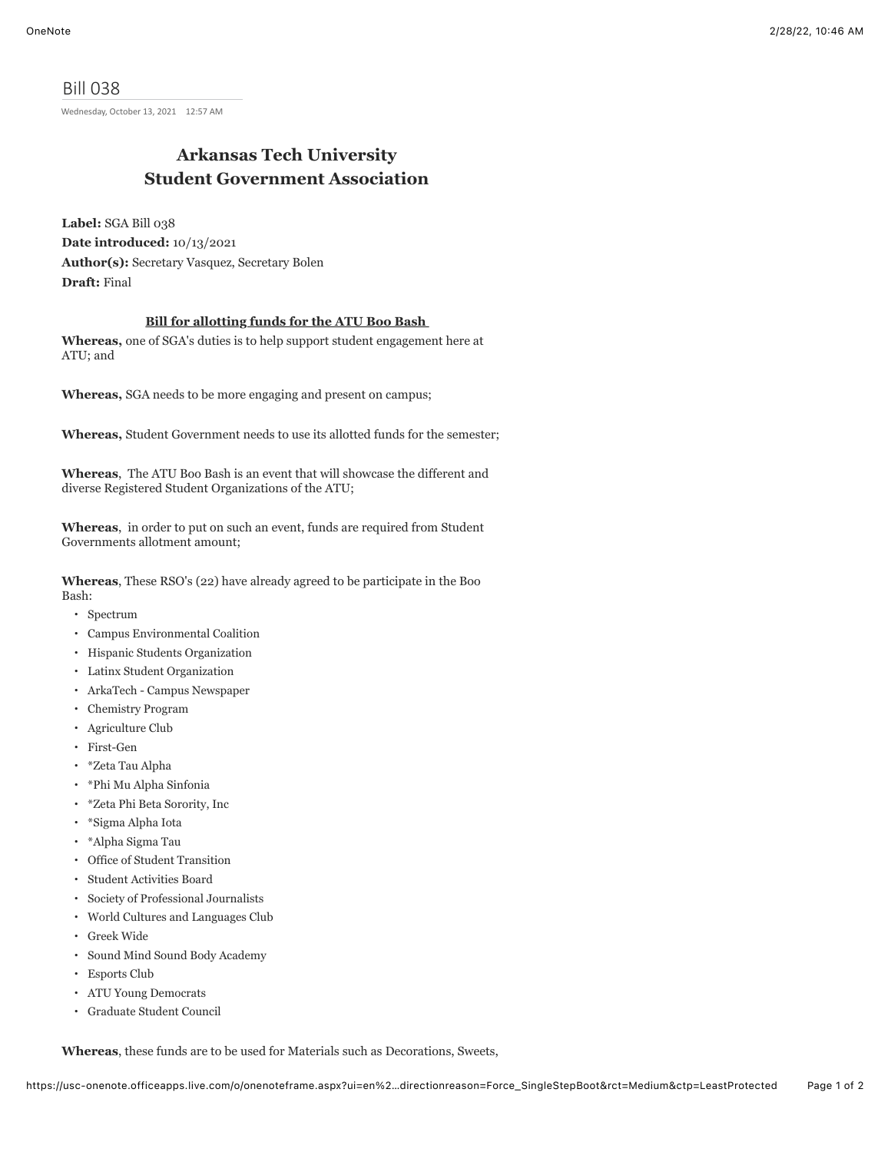Bill 038 Wednesday, October 13, 2021 12:57 AM

## **Arkansas Tech University Student Government Association**

**Label:** SGA Bill 038 **Date introduced:** 10/13/2021 **Author(s):** Secretary Vasquez, Secretary Bolen **Draft:** Final

## **Bill for allotting funds for the ATU Boo Bash**

**Whereas,** one of SGA's duties is to help support student engagement here at ATU; and

**Whereas,** SGA needs to be more engaging and present on campus;

**Whereas,** Student Government needs to use its allotted funds for the semester;

**Whereas**, The ATU Boo Bash is an event that will showcase the different and diverse Registered Student Organizations of the ATU;

**Whereas**, in order to put on such an event, funds are required from Student Governments allotment amount;

**Whereas**, These RSO's (22) have already agreed to be participate in the Boo Bash:

- Spectrum
- Campus Environmental Coalition
- Hispanic Students Organization
- Latinx Student Organization
- ArkaTech Campus Newspaper
- Chemistry Program
- Agriculture Club
- First-Gen
- \*Zeta Tau Alpha
- \*Phi Mu Alpha Sinfonia
- \*Zeta Phi Beta Sorority, Inc
- \*Sigma Alpha Iota
- \*Alpha Sigma Tau
- Office of Student Transition
- Student Activities Board
- Society of Professional Journalists
- World Cultures and Languages Club
- Greek Wide
- Sound Mind Sound Body Academy
- Esports Club
- ATU Young Democrats
- Graduate Student Council

**Whereas**, these funds are to be used for Materials such as Decorations, Sweets,